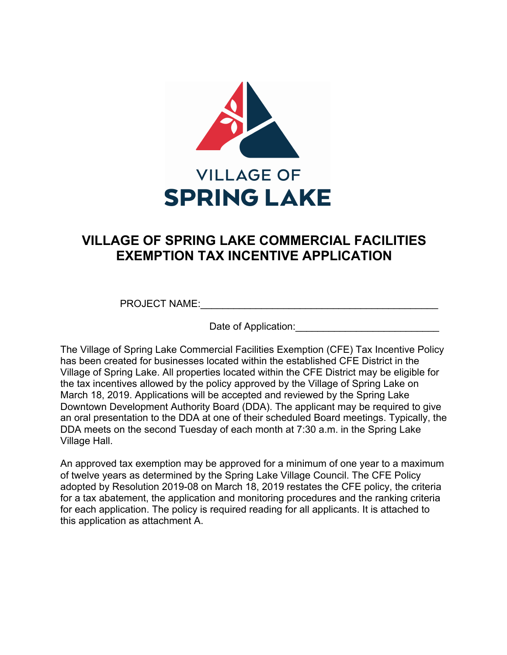

# **VILLAGE OF SPRING LAKE COMMERCIAL FACILITIES EXEMPTION TAX INCENTIVE APPLICATION**

PROJECT NAME:

Date of Application:  $\Box$ 

The Village of Spring Lake Commercial Facilities Exemption (CFE) Tax Incentive Policy has been created for businesses located within the established CFE District in the Village of Spring Lake. All properties located within the CFE District may be eligible for the tax incentives allowed by the policy approved by the Village of Spring Lake on March 18, 2019. Applications will be accepted and reviewed by the Spring Lake Downtown Development Authority Board (DDA). The applicant may be required to give an oral presentation to the DDA at one of their scheduled Board meetings. Typically, the DDA meets on the second Tuesday of each month at 7:30 a.m. in the Spring Lake Village Hall.

An approved tax exemption may be approved for a minimum of one year to a maximum of twelve years as determined by the Spring Lake Village Council. The CFE Policy adopted by Resolution 2019-08 on March 18, 2019 restates the CFE policy, the criteria for a tax abatement, the application and monitoring procedures and the ranking criteria for each application. The policy is required reading for all applicants. It is attached to this application as attachment A.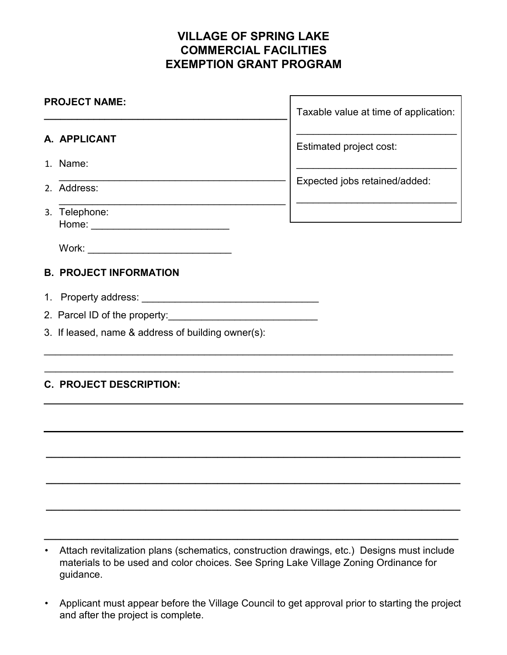# **VILLAGE OF SPRING LAKE COMMERCIAL FACILITIES EXEMPTION GRANT PROGRAM**

| <b>PROJECT NAME:</b> |                                  | Taxable value at time of application: |
|----------------------|----------------------------------|---------------------------------------|
|                      | A. APPLICANT                     | Estimated project cost:               |
|                      | 1. Name:                         |                                       |
|                      | 2. Address:                      | Expected jobs retained/added:         |
|                      | 3. Telephone:<br>Home:           |                                       |
|                      | Work: __________________________ |                                       |
|                      | <b>B. PROJECT INFORMATION</b>    |                                       |

\_\_\_\_\_\_\_\_\_\_\_\_\_\_\_\_\_\_\_\_\_\_\_\_\_\_\_\_\_\_\_\_\_\_\_\_\_\_\_\_\_\_\_\_\_\_\_\_\_\_\_\_\_\_\_\_\_\_\_\_\_\_\_\_\_\_\_\_\_\_\_\_\_\_

\_\_\_\_\_\_\_\_\_\_\_\_\_\_\_\_\_\_\_\_\_\_\_\_\_\_\_\_\_\_\_\_\_\_\_\_\_\_\_\_\_\_\_\_\_\_\_\_\_\_\_\_\_\_\_\_\_\_\_\_\_\_\_\_\_\_\_\_\_\_\_\_\_\_

**\_\_\_\_\_\_\_\_\_\_\_\_\_\_\_\_\_\_\_\_\_\_\_\_\_\_\_\_\_\_\_\_\_\_\_\_\_\_\_\_\_\_\_\_\_\_\_\_\_\_\_\_\_\_\_\_\_\_\_\_\_\_\_\_\_\_\_\_\_\_\_\_\_\_\_** 

**\_\_\_\_\_\_\_\_\_\_\_\_\_\_\_\_\_\_\_\_\_\_\_\_\_\_\_\_\_\_\_\_\_\_\_\_\_\_\_\_\_\_\_\_\_\_\_\_\_\_\_\_\_\_\_\_\_\_\_\_\_\_\_\_\_\_\_\_\_\_\_\_\_\_\_**

**\_\_\_\_\_\_\_\_\_\_\_\_\_\_\_\_\_\_\_\_\_\_\_\_\_\_\_\_\_\_\_\_\_\_\_\_\_\_\_\_\_\_\_\_\_\_\_\_\_\_\_\_\_\_\_\_\_\_\_\_\_\_\_\_\_\_\_\_\_\_\_\_\_\_\_**

- 1. Property address: \_\_\_\_\_\_\_\_\_\_\_\_\_\_\_\_\_\_\_\_\_\_\_\_\_\_\_\_\_\_\_\_
- 2. Parcel ID of the property:
- 3. If leased, name & address of building owner(s):

# **C. PROJECT DESCRIPTION:**

• Attach revitalization plans (schematics, construction drawings, etc.) Designs must include materials to be used and color choices. See Spring Lake Village Zoning Ordinance for guidance.

**\_\_\_\_\_\_\_\_\_\_\_\_\_\_\_\_\_\_\_\_\_\_\_\_\_\_\_\_\_\_\_\_\_\_\_\_\_\_\_\_\_\_\_\_\_\_\_\_\_\_\_\_\_\_\_\_\_\_\_\_\_\_\_\_\_\_\_\_\_\_\_\_\_\_\_**

• Applicant must appear before the Village Council to get approval prior to starting the project and after the project is complete.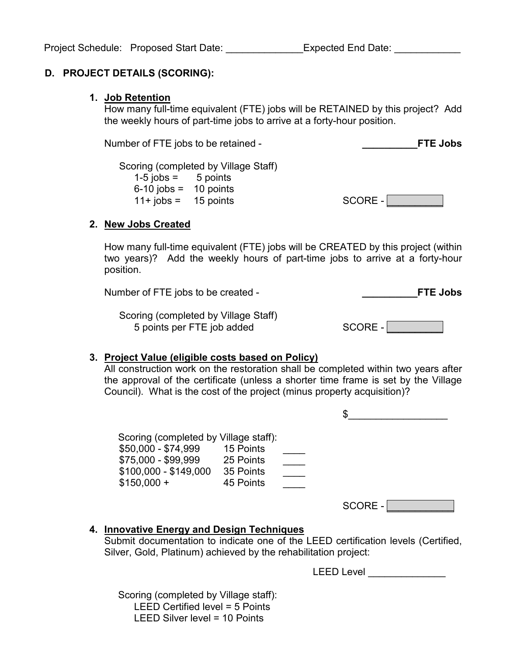## **D. PROJECT DETAILS (SCORING):**

#### **1. Job Retention**

How many full-time equivalent (FTE) jobs will be RETAINED by this project? Add the weekly hours of part-time jobs to arrive at a forty-hour position.

Number of FTE jobs to be retained - **\_\_\_\_\_\_\_\_\_\_FTE Jobs**

Scoring (completed by Village Staff)  $1-5$  jobs =  $5$  points 6-10 jobs = 10 points

 $11+ \text{ jobs} = 15 \text{ points}$  SCORE -

## **2. New Jobs Created**

How many full-time equivalent (FTE) jobs will be CREATED by this project (within two years)? Add the weekly hours of part-time jobs to arrive at a forty-hour position.

Number of FTE jobs to be created - **\_\_\_\_\_\_\_\_\_\_FTE Jobs**

Scoring (completed by Village Staff) 5 points per FTE job added

| ∽<br>$\leq$<br>. , ( JF<br>G |  |
|------------------------------|--|
|                              |  |
|                              |  |

## **3. Project Value (eligible costs based on Policy)**

All construction work on the restoration shall be completed within two years after the approval of the certificate (unless a shorter time frame is set by the Village Council). What is the cost of the project (minus property acquisition)?

| Scoring (completed by Village staff):<br>\$50,000 - \$74,999<br>\$75,000 - \$99,999 25 Points<br>\$100,000 - \$149,000<br>$$150,000 +$ | 15 Points<br>35 Points<br>45 Points | SCORE -                                                                           |
|----------------------------------------------------------------------------------------------------------------------------------------|-------------------------------------|-----------------------------------------------------------------------------------|
| 4. Innovative Energy and Design Techniques<br>Silver, Gold, Platinum) achieved by the rehabilitation project:                          |                                     | Submit documentation to indicate one of the LEED certification levels (Certified, |

LEED Level \_\_\_\_\_\_\_\_\_\_\_\_\_\_

 Scoring (completed by Village staff): LEED Certified level = 5 Points LEED Silver level = 10 Points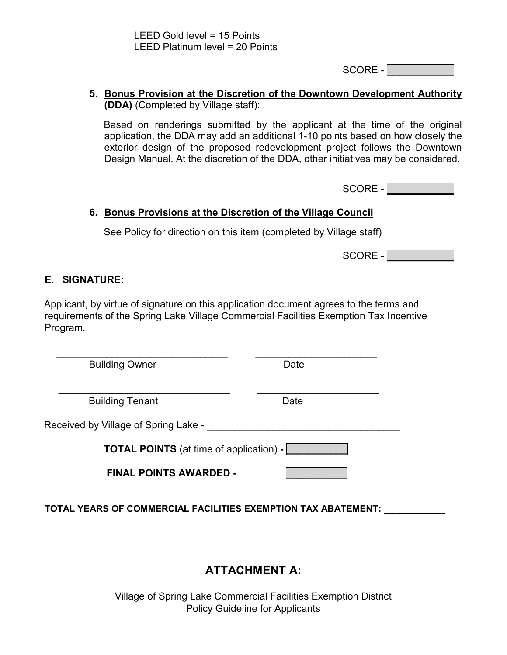$SCORE - |$ 

## **5. Bonus Provision at the Discretion of the Downtown Development Authority (DDA)** (Completed by Village staff):

Based on renderings submitted by the applicant at the time of the original application, the DDA may add an additional 1-10 points based on how closely the exterior design of the proposed redevelopment project follows the Downtown Design Manual. At the discretion of the DDA, other initiatives may be considered.

SCORE -

# **6. Bonus Provisions at the Discretion of the Village Council**

See Policy for direction on this item (completed by Village staff)

SCORE -

# **E. SIGNATURE:**

Applicant, by virtue of signature on this application document agrees to the terms and requirements of the Spring Lake Village Commercial Facilities Exemption Tax Incentive Program.

\_\_\_\_\_\_\_\_\_\_\_\_\_\_\_\_\_\_\_\_\_\_\_\_\_\_\_\_\_\_\_ \_\_\_\_\_\_\_\_\_\_\_\_\_\_\_\_\_\_\_\_\_\_ Building Owner **Date** 

Building Tenant Date Date

Received by Village of Spring Lake -

**TOTAL POINTS** (at time of application) **-** *\_\_\_\_\_\_\_\_\_\_\_*

 $\frac{1}{2}$  ,  $\frac{1}{2}$  ,  $\frac{1}{2}$  ,  $\frac{1}{2}$  ,  $\frac{1}{2}$  ,  $\frac{1}{2}$  ,  $\frac{1}{2}$  ,  $\frac{1}{2}$  ,  $\frac{1}{2}$  ,  $\frac{1}{2}$  ,  $\frac{1}{2}$  ,  $\frac{1}{2}$  ,  $\frac{1}{2}$  ,  $\frac{1}{2}$  ,  $\frac{1}{2}$  ,  $\frac{1}{2}$  ,  $\frac{1}{2}$  ,  $\frac{1}{2}$  ,  $\frac{1$ 

**FINAL POINTS AWARDED -** \_\_\_\_\_\_\_\_\_\_\_

**TOTAL YEARS OF COMMERCIAL FACILITIES EXEMPTION TAX ABATEMENT: \_\_\_\_\_\_\_\_\_\_\_**

# **ATTACHMENT A:**

Village of Spring Lake Commercial Facilities Exemption District Policy Guideline for Applicants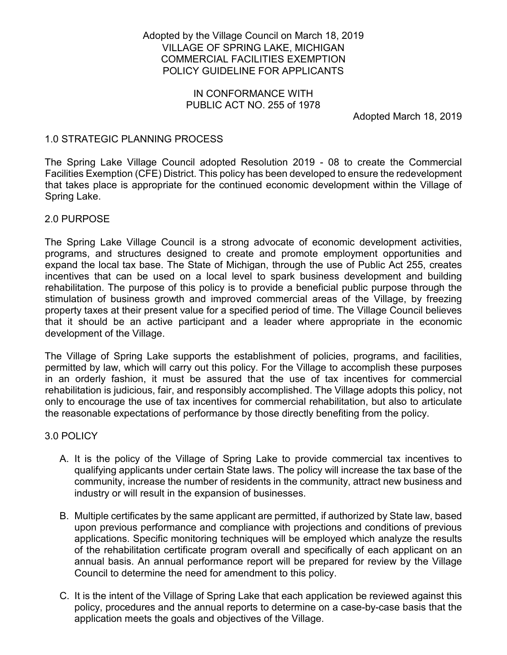### Adopted by the Village Council on March 18, 2019 VILLAGE OF SPRING LAKE, MICHIGAN COMMERCIAL FACILITIES EXEMPTION POLICY GUIDELINE FOR APPLICANTS

#### IN CONFORMANCE WITH PUBLIC ACT NO. 255 of 1978

Adopted March 18, 2019

## 1.0 STRATEGIC PLANNING PROCESS

The Spring Lake Village Council adopted Resolution 2019 - 08 to create the Commercial Facilities Exemption (CFE) District. This policy has been developed to ensure the redevelopment that takes place is appropriate for the continued economic development within the Village of Spring Lake.

#### 2.0 PURPOSE

The Spring Lake Village Council is a strong advocate of economic development activities, programs, and structures designed to create and promote employment opportunities and expand the local tax base. The State of Michigan, through the use of Public Act 255, creates incentives that can be used on a local level to spark business development and building rehabilitation. The purpose of this policy is to provide a beneficial public purpose through the stimulation of business growth and improved commercial areas of the Village, by freezing property taxes at their present value for a specified period of time. The Village Council believes that it should be an active participant and a leader where appropriate in the economic development of the Village.

The Village of Spring Lake supports the establishment of policies, programs, and facilities, permitted by law, which will carry out this policy. For the Village to accomplish these purposes in an orderly fashion, it must be assured that the use of tax incentives for commercial rehabilitation is judicious, fair, and responsibly accomplished. The Village adopts this policy, not only to encourage the use of tax incentives for commercial rehabilitation, but also to articulate the reasonable expectations of performance by those directly benefiting from the policy.

#### 3.0 POLICY

- A. It is the policy of the Village of Spring Lake to provide commercial tax incentives to qualifying applicants under certain State laws. The policy will increase the tax base of the community, increase the number of residents in the community, attract new business and industry or will result in the expansion of businesses.
- B. Multiple certificates by the same applicant are permitted, if authorized by State law, based upon previous performance and compliance with projections and conditions of previous applications. Specific monitoring techniques will be employed which analyze the results of the rehabilitation certificate program overall and specifically of each applicant on an annual basis. An annual performance report will be prepared for review by the Village Council to determine the need for amendment to this policy.
- C. It is the intent of the Village of Spring Lake that each application be reviewed against this policy, procedures and the annual reports to determine on a case-by-case basis that the application meets the goals and objectives of the Village.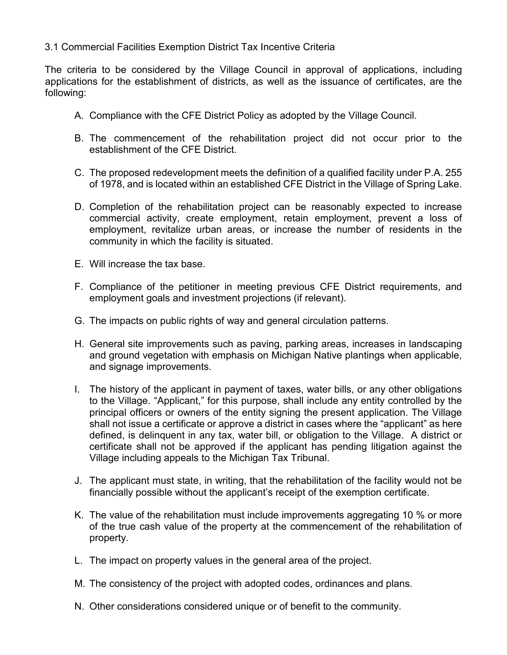## 3.1 Commercial Facilities Exemption District Tax Incentive Criteria

The criteria to be considered by the Village Council in approval of applications, including applications for the establishment of districts, as well as the issuance of certificates, are the following:

- A. Compliance with the CFE District Policy as adopted by the Village Council.
- B. The commencement of the rehabilitation project did not occur prior to the establishment of the CFE District.
- C. The proposed redevelopment meets the definition of a qualified facility under P.A. 255 of 1978, and is located within an established CFE District in the Village of Spring Lake.
- D. Completion of the rehabilitation project can be reasonably expected to increase commercial activity, create employment, retain employment, prevent a loss of employment, revitalize urban areas, or increase the number of residents in the community in which the facility is situated.
- E. Will increase the tax base.
- F. Compliance of the petitioner in meeting previous CFE District requirements, and employment goals and investment projections (if relevant).
- G. The impacts on public rights of way and general circulation patterns.
- H. General site improvements such as paving, parking areas, increases in landscaping and ground vegetation with emphasis on Michigan Native plantings when applicable, and signage improvements.
- I. The history of the applicant in payment of taxes, water bills, or any other obligations to the Village. "Applicant," for this purpose, shall include any entity controlled by the principal officers or owners of the entity signing the present application. The Village shall not issue a certificate or approve a district in cases where the "applicant" as here defined, is delinquent in any tax, water bill, or obligation to the Village. A district or certificate shall not be approved if the applicant has pending litigation against the Village including appeals to the Michigan Tax Tribunal.
- J. The applicant must state, in writing, that the rehabilitation of the facility would not be financially possible without the applicant's receipt of the exemption certificate.
- K. The value of the rehabilitation must include improvements aggregating 10 % or more of the true cash value of the property at the commencement of the rehabilitation of property.
- L. The impact on property values in the general area of the project.
- M. The consistency of the project with adopted codes, ordinances and plans.
- N. Other considerations considered unique or of benefit to the community.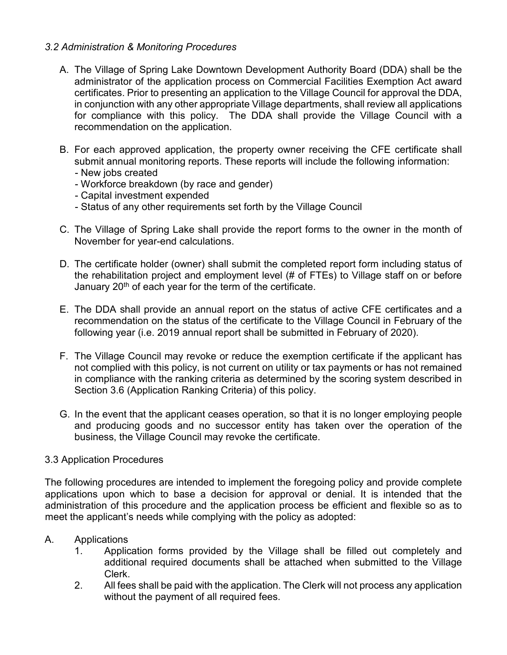## *3.2 Administration & Monitoring Procedures*

- A. The Village of Spring Lake Downtown Development Authority Board (DDA) shall be the administrator of the application process on Commercial Facilities Exemption Act award certificates. Prior to presenting an application to the Village Council for approval the DDA, in conjunction with any other appropriate Village departments, shall review all applications for compliance with this policy. The DDA shall provide the Village Council with a recommendation on the application.
- B. For each approved application, the property owner receiving the CFE certificate shall submit annual monitoring reports. These reports will include the following information:
	- New jobs created
	- Workforce breakdown (by race and gender)
	- Capital investment expended
	- Status of any other requirements set forth by the Village Council
- C. The Village of Spring Lake shall provide the report forms to the owner in the month of November for year-end calculations.
- D. The certificate holder (owner) shall submit the completed report form including status of the rehabilitation project and employment level (# of FTEs) to Village staff on or before January 20<sup>th</sup> of each year for the term of the certificate.
- E. The DDA shall provide an annual report on the status of active CFE certificates and a recommendation on the status of the certificate to the Village Council in February of the following year (i.e. 2019 annual report shall be submitted in February of 2020).
- F. The Village Council may revoke or reduce the exemption certificate if the applicant has not complied with this policy, is not current on utility or tax payments or has not remained in compliance with the ranking criteria as determined by the scoring system described in Section 3.6 (Application Ranking Criteria) of this policy.
- G. In the event that the applicant ceases operation, so that it is no longer employing people and producing goods and no successor entity has taken over the operation of the business, the Village Council may revoke the certificate.

#### 3.3 Application Procedures

The following procedures are intended to implement the foregoing policy and provide complete applications upon which to base a decision for approval or denial. It is intended that the administration of this procedure and the application process be efficient and flexible so as to meet the applicant's needs while complying with the policy as adopted:

#### A. Applications

- 1. Application forms provided by the Village shall be filled out completely and additional required documents shall be attached when submitted to the Village Clerk.
- 2. All fees shall be paid with the application. The Clerk will not process any application without the payment of all required fees.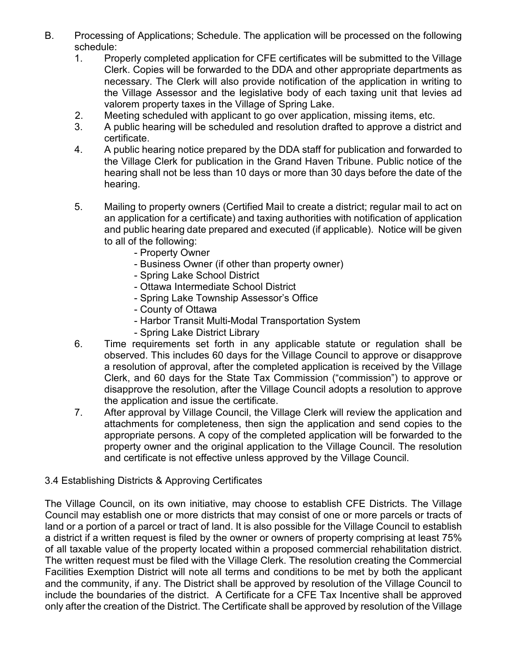- B. Processing of Applications; Schedule. The application will be processed on the following schedule:
	- 1. Properly completed application for CFE certificates will be submitted to the Village Clerk. Copies will be forwarded to the DDA and other appropriate departments as necessary. The Clerk will also provide notification of the application in writing to the Village Assessor and the legislative body of each taxing unit that levies ad valorem property taxes in the Village of Spring Lake.
	- 2. Meeting scheduled with applicant to go over application, missing items, etc.
	- 3. A public hearing will be scheduled and resolution drafted to approve a district and certificate.
	- 4. A public hearing notice prepared by the DDA staff for publication and forwarded to the Village Clerk for publication in the Grand Haven Tribune. Public notice of the hearing shall not be less than 10 days or more than 30 days before the date of the hearing.
	- 5. Mailing to property owners (Certified Mail to create a district; regular mail to act on an application for a certificate) and taxing authorities with notification of application and public hearing date prepared and executed (if applicable). Notice will be given to all of the following:
		- Property Owner
		- Business Owner (if other than property owner)
		- Spring Lake School District
		- Ottawa Intermediate School District
		- Spring Lake Township Assessor's Office
		- County of Ottawa
		- Harbor Transit Multi-Modal Transportation System
		- Spring Lake District Library
	- 6. Time requirements set forth in any applicable statute or regulation shall be observed. This includes 60 days for the Village Council to approve or disapprove a resolution of approval, after the completed application is received by the Village Clerk, and 60 days for the State Tax Commission ("commission") to approve or disapprove the resolution, after the Village Council adopts a resolution to approve the application and issue the certificate.
	- 7. After approval by Village Council, the Village Clerk will review the application and attachments for completeness, then sign the application and send copies to the appropriate persons. A copy of the completed application will be forwarded to the property owner and the original application to the Village Council. The resolution and certificate is not effective unless approved by the Village Council.

#### 3.4 Establishing Districts & Approving Certificates

The Village Council, on its own initiative, may choose to establish CFE Districts. The Village Council may establish one or more districts that may consist of one or more parcels or tracts of land or a portion of a parcel or tract of land. It is also possible for the Village Council to establish a district if a written request is filed by the owner or owners of property comprising at least 75% of all taxable value of the property located within a proposed commercial rehabilitation district. The written request must be filed with the Village Clerk. The resolution creating the Commercial Facilities Exemption District will note all terms and conditions to be met by both the applicant and the community, if any. The District shall be approved by resolution of the Village Council to include the boundaries of the district. A Certificate for a CFE Tax Incentive shall be approved only after the creation of the District. The Certificate shall be approved by resolution of the Village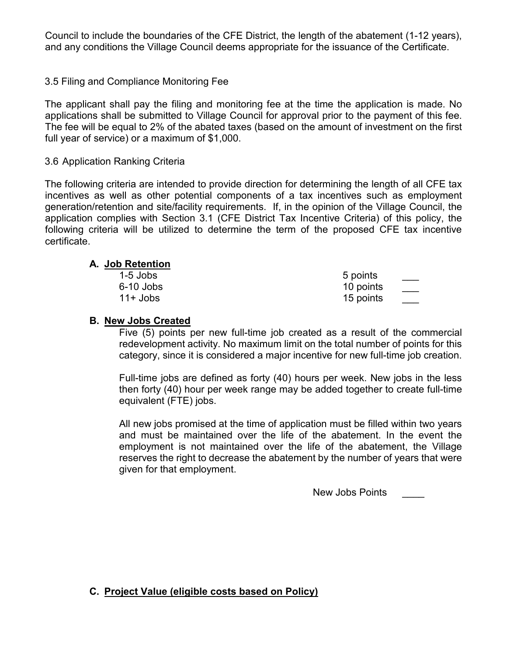Council to include the boundaries of the CFE District, the length of the abatement (1-12 years), and any conditions the Village Council deems appropriate for the issuance of the Certificate.

### 3.5 Filing and Compliance Monitoring Fee

The applicant shall pay the filing and monitoring fee at the time the application is made. No applications shall be submitted to Village Council for approval prior to the payment of this fee. The fee will be equal to 2% of the abated taxes (based on the amount of investment on the first full year of service) or a maximum of \$1,000.

#### 3.6 Application Ranking Criteria

The following criteria are intended to provide direction for determining the length of all CFE tax incentives as well as other potential components of a tax incentives such as employment generation/retention and site/facility requirements. If, in the opinion of the Village Council, the application complies with Section 3.1 (CFE District Tax Incentive Criteria) of this policy, the following criteria will be utilized to determine the term of the proposed CFE tax incentive certificate.

#### **A. Job Retention**

| $1-5$ Jobs  | 5 points  |
|-------------|-----------|
| $6-10$ Jobs | 10 points |
| $11+$ Jobs  | 15 points |

#### **B. New Jobs Created**

Five (5) points per new full-time job created as a result of the commercial redevelopment activity. No maximum limit on the total number of points for this category, since it is considered a major incentive for new full-time job creation.

Full-time jobs are defined as forty (40) hours per week. New jobs in the less then forty (40) hour per week range may be added together to create full-time equivalent (FTE) jobs.

All new jobs promised at the time of application must be filled within two years and must be maintained over the life of the abatement. In the event the employment is not maintained over the life of the abatement, the Village reserves the right to decrease the abatement by the number of years that were given for that employment.

New Jobs Points

## **C. Project Value (eligible costs based on Policy)**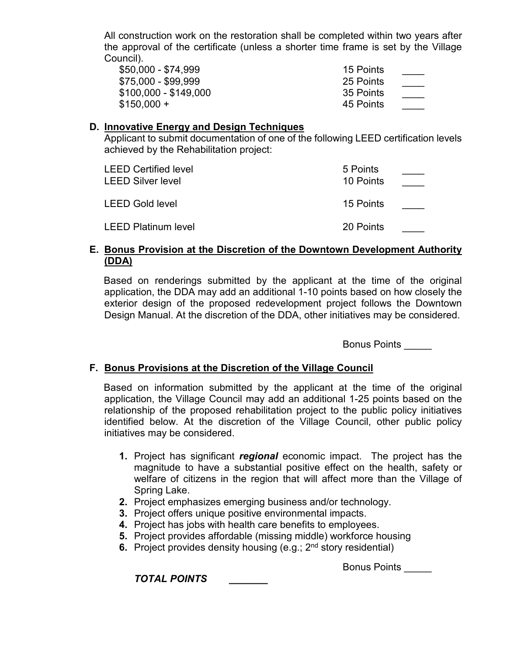All construction work on the restoration shall be completed within two years after the approval of the certificate (unless a shorter time frame is set by the Village Council).

| \$50,000 - \$74,999   | 15 Points |  |
|-----------------------|-----------|--|
| \$75,000 - \$99,999   | 25 Points |  |
| \$100,000 - \$149,000 | 35 Points |  |
| $$150,000 +$          | 45 Points |  |

#### **D. Innovative Energy and Design Techniques**

Applicant to submit documentation of one of the following LEED certification levels achieved by the Rehabilitation project:

| <b>LEED Certified level</b><br><b>LEED Silver level</b> | 5 Points<br>10 Points |  |
|---------------------------------------------------------|-----------------------|--|
| <b>LEED Gold level</b>                                  | 15 Points             |  |
| LEED Platinum level                                     | 20 Points             |  |

#### **E. Bonus Provision at the Discretion of the Downtown Development Authority (DDA)**

Based on renderings submitted by the applicant at the time of the original application, the DDA may add an additional 1-10 points based on how closely the exterior design of the proposed redevelopment project follows the Downtown Design Manual. At the discretion of the DDA, other initiatives may be considered.

Bonus Points \_\_\_\_\_

#### **F. Bonus Provisions at the Discretion of the Village Council**

Based on information submitted by the applicant at the time of the original application, the Village Council may add an additional 1-25 points based on the relationship of the proposed rehabilitation project to the public policy initiatives identified below. At the discretion of the Village Council, other public policy initiatives may be considered.

- **1.** Project has significant *regional* economic impact. The project has the magnitude to have a substantial positive effect on the health, safety or welfare of citizens in the region that will affect more than the Village of Spring Lake.
- **2.** Project emphasizes emerging business and/or technology.
- **3.** Project offers unique positive environmental impacts.
- **4.** Project has jobs with health care benefits to employees.
- **5.** Project provides affordable (missing middle) workforce housing
- **6.** Project provides density housing (e.g.; 2<sup>nd</sup> story residential)

Bonus Points \_\_\_\_\_

*TOTAL POINTS \_\_\_\_\_\_\_*